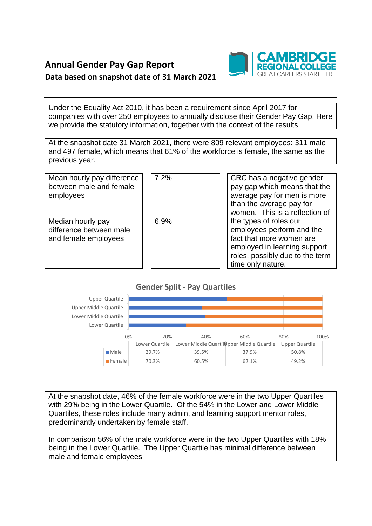

Under the Equality Act 2010, it has been a requirement since April 2017 for companies with over 250 employees to annually disclose their Gender Pay Gap. Here we provide the statutory information, together with the context of the results

At the snapshot date 31 March 2021, there were 809 relevant employees: 311 male and 497 female, which means that 61% of the workforce is female, the same as the previous year.

| Mean hourly pay difference<br>between male and female<br>employees   | 7.2% | CRC has a negative gender<br>pay gap which means that the<br>average pay for men is more<br>than the average pay for<br>women. This is a reflection of                  |
|----------------------------------------------------------------------|------|-------------------------------------------------------------------------------------------------------------------------------------------------------------------------|
| Median hourly pay<br>difference between male<br>and female employees | 6.9% | the types of roles our<br>employees perform and the<br>fact that more women are<br>employed in learning support<br>roles, possibly due to the term<br>time only nature. |



At the snapshot date, 46% of the female workforce were in the two Upper Quartiles with 29% being in the Lower Quartile. Of the 54% in the Lower and Lower Middle Quartiles, these roles include many admin, and learning support mentor roles, predominantly undertaken by female staff.

In comparison 56% of the male workforce were in the two Upper Quartiles with 18% being in the Lower Quartile. The Upper Quartile has minimal difference between male and female employees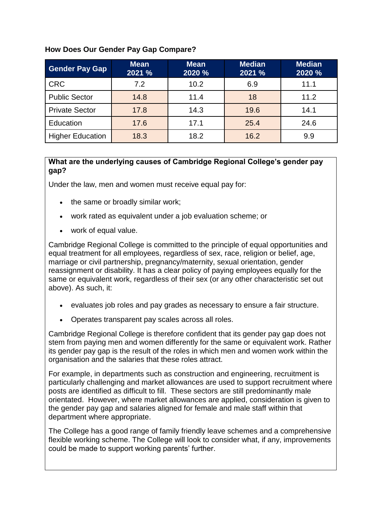## **How Does Our Gender Pay Gap Compare?**

| <b>Gender Pay Gap</b>   | <b>Mean</b><br>2021 % | <b>Mean</b><br>2020 % | <b>Median</b><br>2021 % | <b>Median</b><br>2020 % |
|-------------------------|-----------------------|-----------------------|-------------------------|-------------------------|
| <b>CRC</b>              | 7.2                   | 10.2                  | 6.9                     | 11.1                    |
| <b>Public Sector</b>    | 14.8                  | 11.4                  | 18                      | 11.2                    |
| <b>Private Sector</b>   | 17.8                  | 14.3                  | 19.6                    | 14.1                    |
| Education               | 17.6                  | 17.1                  | 25.4                    | 24.6                    |
| <b>Higher Education</b> | 18.3                  | 18.2                  | 16.2                    | 9.9                     |

## **What are the underlying causes of Cambridge Regional College's gender pay gap?**

Under the law, men and women must receive equal pay for:

- the same or broadly similar work;
- work rated as equivalent under a job evaluation scheme; or
- work of equal value.

Cambridge Regional College is committed to the principle of equal opportunities and equal treatment for all employees, regardless of sex, race, religion or belief, age, marriage or civil partnership, pregnancy/maternity, sexual orientation, gender reassignment or disability. It has a clear policy of paying employees equally for the same or equivalent work, regardless of their sex (or any other characteristic set out above). As such, it:

- evaluates job roles and pay grades as necessary to ensure a fair structure.
- Operates transparent pay scales across all roles.

Cambridge Regional College is therefore confident that its gender pay gap does not stem from paying men and women differently for the same or equivalent work. Rather its gender pay gap is the result of the roles in which men and women work within the organisation and the salaries that these roles attract.

For example, in departments such as construction and engineering, recruitment is particularly challenging and market allowances are used to support recruitment where posts are identified as difficult to fill. These sectors are still predominantly male orientated. However, where market allowances are applied, consideration is given to the gender pay gap and salaries aligned for female and male staff within that department where appropriate.

The College has a good range of family friendly leave schemes and a comprehensive flexible working scheme. The College will look to consider what, if any, improvements could be made to support working parents' further.